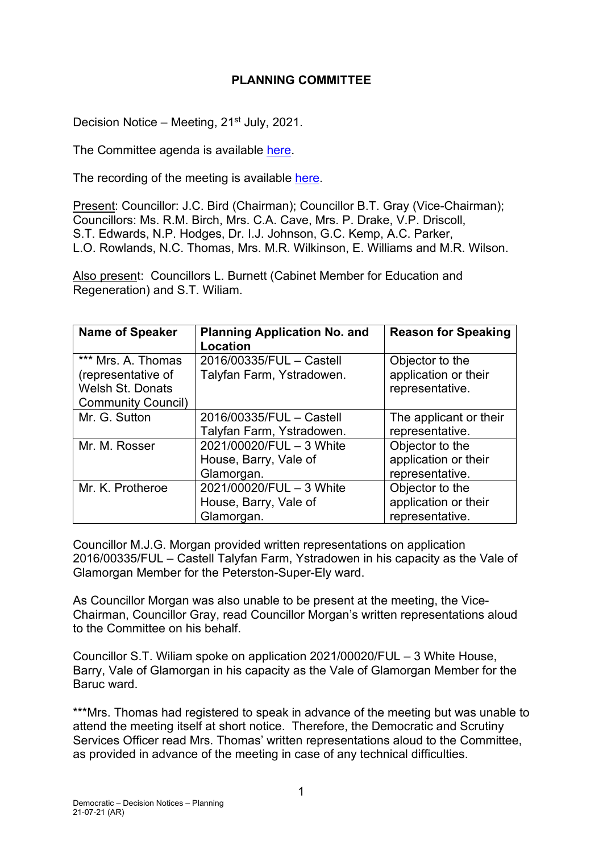# **PLANNING COMMITTEE**

Decision Notice – Meeting, 21<sup>st</sup> July, 2021.

The Committee agenda is available [here.](https://www.valeofglamorgan.gov.uk/en/our_council/Council-Structure/minutes,_agendas_and_reports/agendas/planning/2021/21-07-21.aspx)

The recording of the meeting is available [here.](https://www.youtube.com/watch?v=rnmoU45sDfE&list=PLzt4i14pgqIEYTpGwpnqhxqyIIskR95ke&index=1&t=1397s)

Present: Councillor: J.C. Bird (Chairman); Councillor B.T. Gray (Vice-Chairman); Councillors: Ms. R.M. Birch, Mrs. C.A. Cave, Mrs. P. Drake, V.P. Driscoll, S.T. Edwards, N.P. Hodges, Dr. I.J. Johnson, G.C. Kemp, A.C. Parker, L.O. Rowlands, N.C. Thomas, Mrs. M.R. Wilkinson, E. Williams and M.R. Wilson.

Also present: Councillors L. Burnett (Cabinet Member for Education and Regeneration) and S.T. Wiliam.

| <b>Name of Speaker</b>                                                                           | <b>Planning Application No. and</b><br><b>Location</b>          | <b>Reason for Speaking</b>                                 |
|--------------------------------------------------------------------------------------------------|-----------------------------------------------------------------|------------------------------------------------------------|
| *** Mrs. A. Thomas<br>(representative of<br><b>Welsh St. Donats</b><br><b>Community Council)</b> | 2016/00335/FUL - Castell<br>Talyfan Farm, Ystradowen.           | Objector to the<br>application or their<br>representative. |
| Mr. G. Sutton                                                                                    | 2016/00335/FUL - Castell<br>Talyfan Farm, Ystradowen.           | The applicant or their<br>representative.                  |
| Mr. M. Rosser                                                                                    | 2021/00020/FUL - 3 White<br>House, Barry, Vale of<br>Glamorgan. | Objector to the<br>application or their<br>representative. |
| Mr. K. Protheroe                                                                                 | 2021/00020/FUL - 3 White<br>House, Barry, Vale of<br>Glamorgan. | Objector to the<br>application or their<br>representative. |

Councillor M.J.G. Morgan provided written representations on application 2016/00335/FUL – Castell Talyfan Farm, Ystradowen in his capacity as the Vale of Glamorgan Member for the Peterston-Super-Ely ward.

As Councillor Morgan was also unable to be present at the meeting, the Vice-Chairman, Councillor Gray, read Councillor Morgan's written representations aloud to the Committee on his behalf.

Councillor S.T. Wiliam spoke on application 2021/00020/FUL – 3 White House, Barry, Vale of Glamorgan in his capacity as the Vale of Glamorgan Member for the Baruc ward.

\*\*\*Mrs. Thomas had registered to speak in advance of the meeting but was unable to attend the meeting itself at short notice. Therefore, the Democratic and Scrutiny Services Officer read Mrs. Thomas' written representations aloud to the Committee, as provided in advance of the meeting in case of any technical difficulties.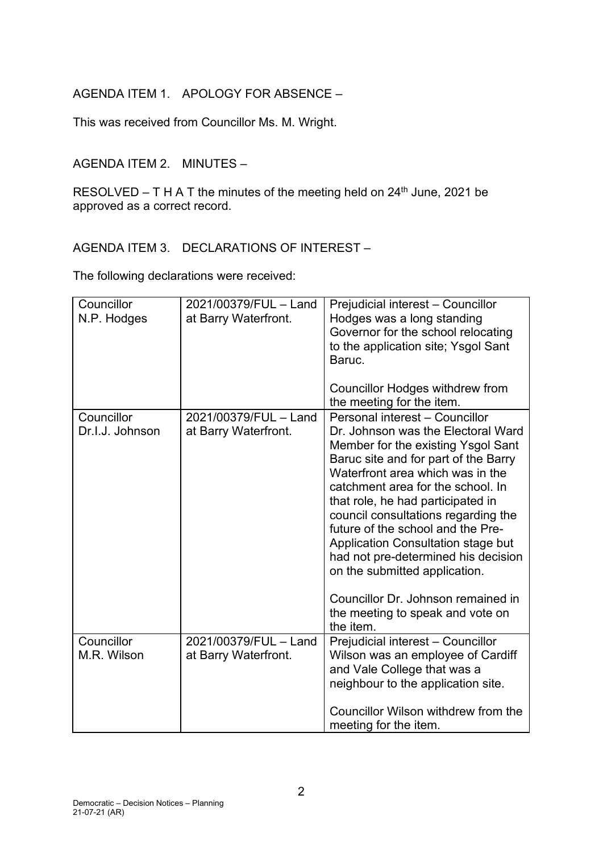# AGENDA ITEM 1. APOLOGY FOR ABSENCE –

This was received from Councillor Ms. M. Wright.

# AGENDA ITEM 2. MINUTES –

RESOLVED – T H A T the minutes of the meeting held on  $24<sup>th</sup>$  June, 2021 be approved as a correct record.

## AGENDA ITEM 3. DECLARATIONS OF INTEREST –

The following declarations were received:

| Councillor<br>N.P. Hodges     | 2021/00379/FUL - Land<br>at Barry Waterfront. | Prejudicial interest - Councillor<br>Hodges was a long standing<br>Governor for the school relocating<br>to the application site; Ysgol Sant<br>Baruc.<br><b>Councillor Hodges withdrew from</b>                                                                                                                                                                                                                                                                                        |
|-------------------------------|-----------------------------------------------|-----------------------------------------------------------------------------------------------------------------------------------------------------------------------------------------------------------------------------------------------------------------------------------------------------------------------------------------------------------------------------------------------------------------------------------------------------------------------------------------|
| Councillor<br>Dr.I.J. Johnson | 2021/00379/FUL - Land<br>at Barry Waterfront. | the meeting for the item.<br>Personal interest - Councillor<br>Dr. Johnson was the Electoral Ward<br>Member for the existing Ysgol Sant<br>Baruc site and for part of the Barry<br>Waterfront area which was in the<br>catchment area for the school. In<br>that role, he had participated in<br>council consultations regarding the<br>future of the school and the Pre-<br>Application Consultation stage but<br>had not pre-determined his decision<br>on the submitted application. |
|                               |                                               | Councillor Dr. Johnson remained in<br>the meeting to speak and vote on<br>the item.                                                                                                                                                                                                                                                                                                                                                                                                     |
| Councillor<br>M.R. Wilson     | 2021/00379/FUL - Land<br>at Barry Waterfront. | Prejudicial interest - Councillor<br>Wilson was an employee of Cardiff<br>and Vale College that was a<br>neighbour to the application site.                                                                                                                                                                                                                                                                                                                                             |
|                               |                                               | Councillor Wilson withdrew from the<br>meeting for the item.                                                                                                                                                                                                                                                                                                                                                                                                                            |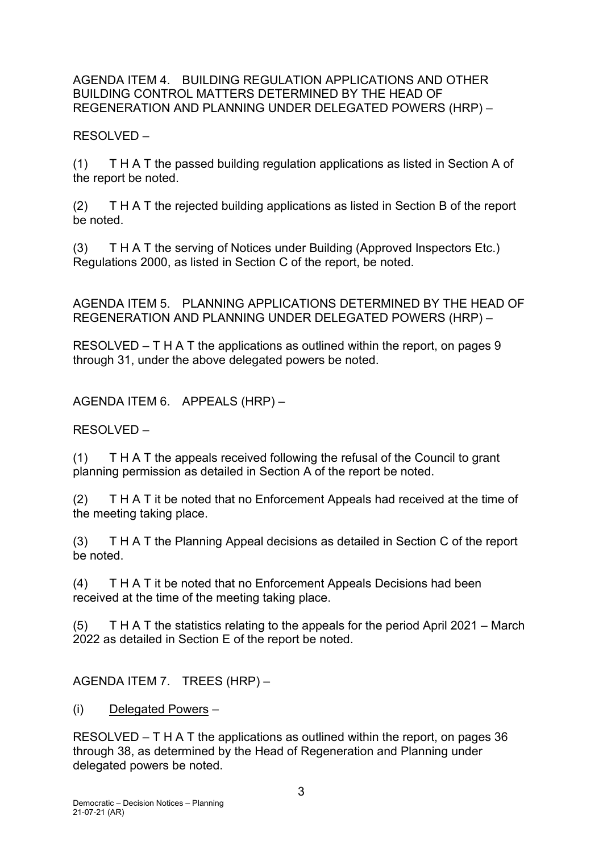### AGENDA ITEM 4. BUILDING REGULATION APPLICATIONS AND OTHER BUILDING CONTROL MATTERS DETERMINED BY THE HEAD OF REGENERATION AND PLANNING UNDER DELEGATED POWERS (HRP) –

RESOLVED –

(1) T H A T the passed building regulation applications as listed in Section A of the report be noted.

(2) T H A T the rejected building applications as listed in Section B of the report be noted.

(3) T H A T the serving of Notices under Building (Approved Inspectors Etc.) Regulations 2000, as listed in Section C of the report, be noted.

AGENDA ITEM 5. PLANNING APPLICATIONS DETERMINED BY THE HEAD OF REGENERATION AND PLANNING UNDER DELEGATED POWERS (HRP) –

RESOLVED – T H A T the applications as outlined within the report, on pages 9 through 31, under the above delegated powers be noted.

AGENDA ITEM 6. APPEALS (HRP) –

RESOLVED –

(1) T H A T the appeals received following the refusal of the Council to grant planning permission as detailed in Section A of the report be noted.

(2) T H A T it be noted that no Enforcement Appeals had received at the time of the meeting taking place.

(3) T H A T the Planning Appeal decisions as detailed in Section C of the report be noted.

(4) T H A T it be noted that no Enforcement Appeals Decisions had been received at the time of the meeting taking place.

(5) T H A T the statistics relating to the appeals for the period April 2021 – March 2022 as detailed in Section E of the report be noted.

AGENDA ITEM 7. TREES (HRP) –

(i) Delegated Powers –

RESOLVED – T H A T the applications as outlined within the report, on pages 36 through 38, as determined by the Head of Regeneration and Planning under delegated powers be noted.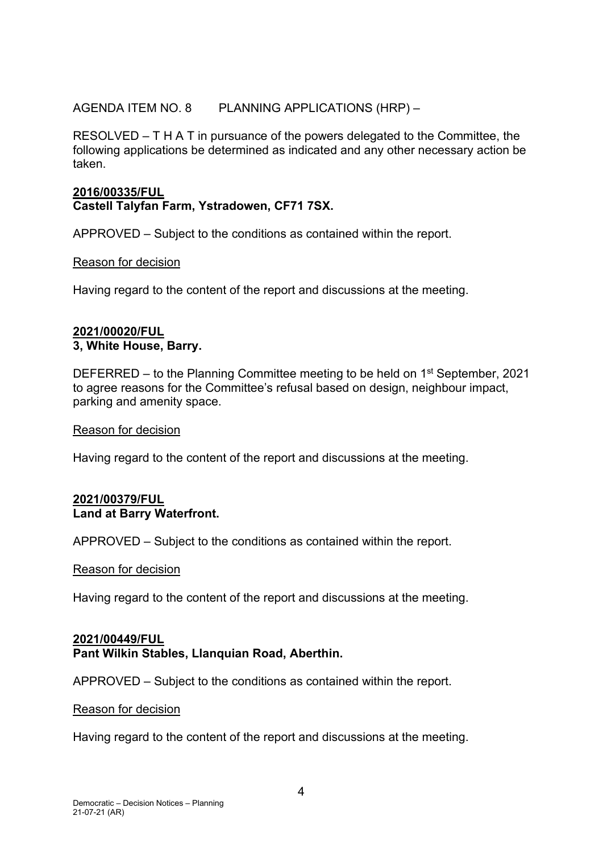## AGENDA ITEM NO. 8 PLANNING APPLICATIONS (HRP) –

RESOLVED – T H A T in pursuance of the powers delegated to the Committee, the following applications be determined as indicated and any other necessary action be taken.

## **2016/00335/FUL Castell Talyfan Farm, Ystradowen, CF71 7SX.**

APPROVED – Subject to the conditions as contained within the report.

### Reason for decision

Having regard to the content of the report and discussions at the meeting.

### **2021/00020/FUL 3, White House, Barry.**

DEFERRED – to the Planning Committee meeting to be held on 1<sup>st</sup> September, 2021 to agree reasons for the Committee's refusal based on design, neighbour impact, parking and amenity space.

#### Reason for decision

Having regard to the content of the report and discussions at the meeting.

### **2021/00379/FUL Land at Barry Waterfront.**

APPROVED – Subject to the conditions as contained within the report.

#### Reason for decision

Having regard to the content of the report and discussions at the meeting.

### **2021/00449/FUL Pant Wilkin Stables, Llanquian Road, Aberthin.**

APPROVED – Subject to the conditions as contained within the report.

#### Reason for decision

Having regard to the content of the report and discussions at the meeting.